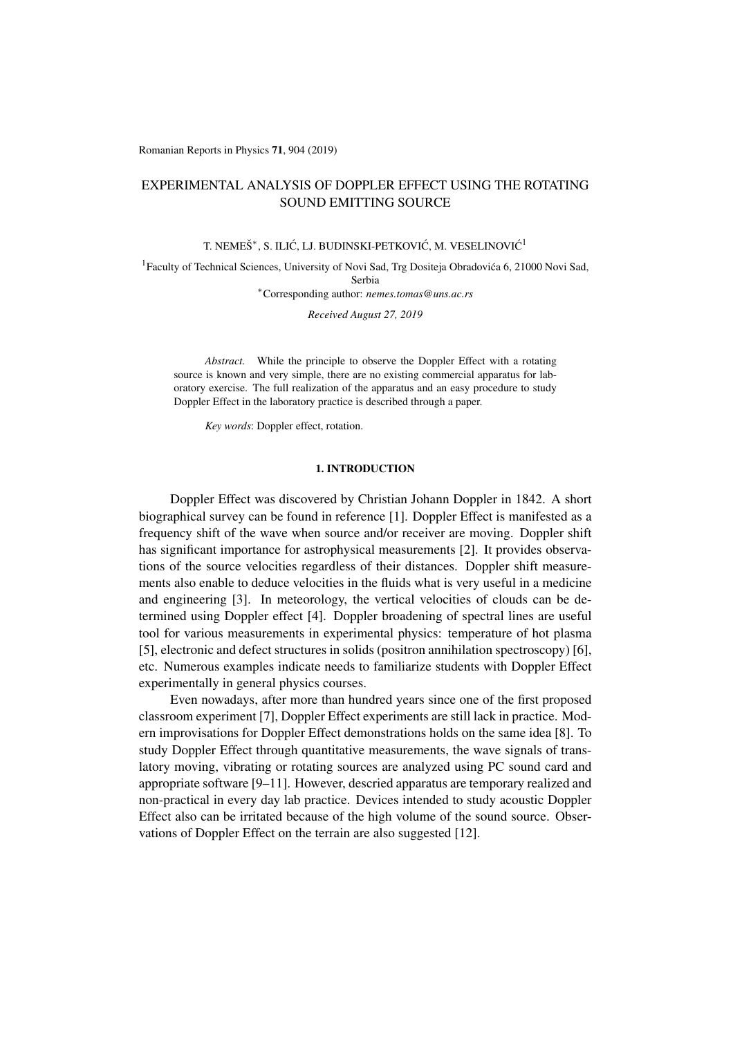Romanian Reports in Physics 71, 904 (2019)

# EXPERIMENTAL ANALYSIS OF DOPPLER EFFECT USING THE ROTATING SOUND EMITTING SOURCE

## T. NEMEŠ<sup>\*</sup>, S. ILIĆ, LJ. BUDINSKI-PETKOVIĆ, M. VESELINOVIĆ<sup>1</sup>

1Faculty of Technical Sciences, University of Novi Sad, Trg Dositeja Obradovica 6, 21000 Novi Sad, ´ Serbia ⇤Corresponding author: *nemes.tomas@uns.ac.rs*

*Received August 27, 2019*

*Abstract.* While the principle to observe the Doppler Effect with a rotating source is known and very simple, there are no existing commercial apparatus for laboratory exercise. The full realization of the apparatus and an easy procedure to study Doppler Effect in the laboratory practice is described through a paper.

*Key words*: Doppler effect, rotation.

### 1. INTRODUCTION

Doppler Effect was discovered by Christian Johann Doppler in 1842. A short biographical survey can be found in reference [1]. Doppler Effect is manifested as a frequency shift of the wave when source and/or receiver are moving. Doppler shift has significant importance for astrophysical measurements [2]. It provides observations of the source velocities regardless of their distances. Doppler shift measurements also enable to deduce velocities in the fluids what is very useful in a medicine and engineering [3]. In meteorology, the vertical velocities of clouds can be determined using Doppler effect [4]. Doppler broadening of spectral lines are useful tool for various measurements in experimental physics: temperature of hot plasma [5], electronic and defect structures in solids (positron annihilation spectroscopy) [6], etc. Numerous examples indicate needs to familiarize students with Doppler Effect experimentally in general physics courses.

Even nowadays, after more than hundred years since one of the first proposed classroom experiment [7], Doppler Effect experiments are still lack in practice. Modern improvisations for Doppler Effect demonstrations holds on the same idea [8]. To study Doppler Effect through quantitative measurements, the wave signals of translatory moving, vibrating or rotating sources are analyzed using PC sound card and appropriate software [9–11]. However, descried apparatus are temporary realized and non-practical in every day lab practice. Devices intended to study acoustic Doppler Effect also can be irritated because of the high volume of the sound source. Observations of Doppler Effect on the terrain are also suggested [12].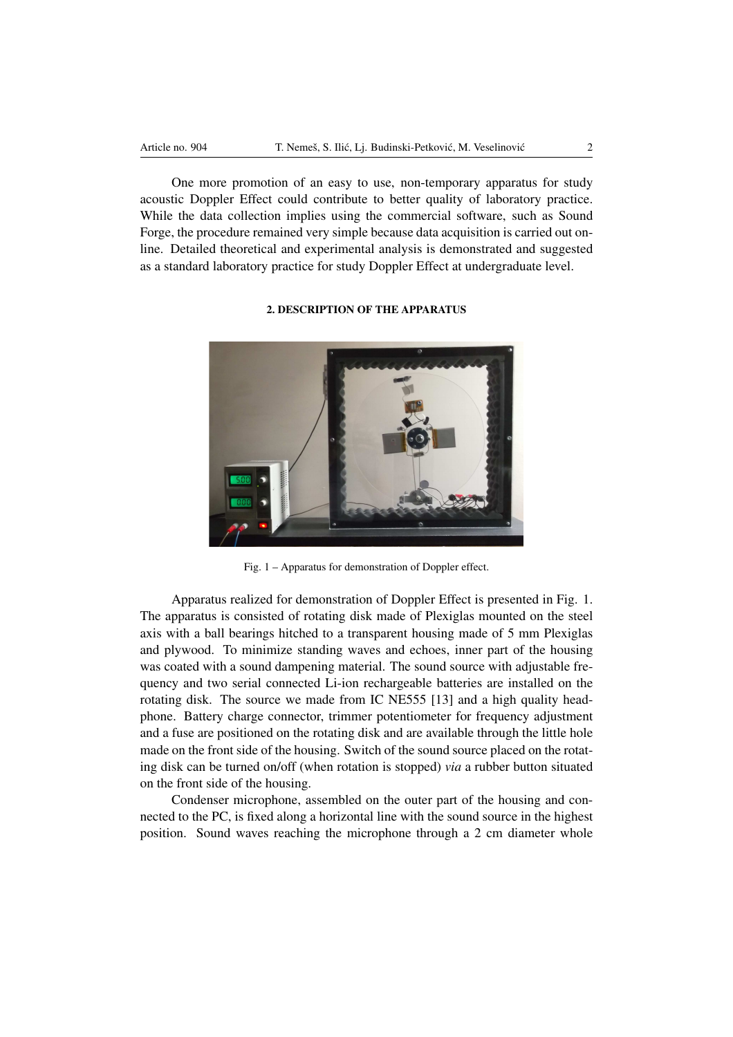One more promotion of an easy to use, non-temporary apparatus for study acoustic Doppler Effect could contribute to better quality of laboratory practice. While the data collection implies using the commercial software, such as Sound Forge, the procedure remained very simple because data acquisition is carried out online. Detailed theoretical and experimental analysis is demonstrated and suggested as a standard laboratory practice for study Doppler Effect at undergraduate level.

## 2. DESCRIPTION OF THE APPARATUS



Fig. 1 – Apparatus for demonstration of Doppler effect.

Apparatus realized for demonstration of Doppler Effect is presented in Fig. 1. The apparatus is consisted of rotating disk made of Plexiglas mounted on the steel axis with a ball bearings hitched to a transparent housing made of 5 mm Plexiglas and plywood. To minimize standing waves and echoes, inner part of the housing was coated with a sound dampening material. The sound source with adjustable frequency and two serial connected Li-ion rechargeable batteries are installed on the rotating disk. The source we made from IC NE555 [13] and a high quality headphone. Battery charge connector, trimmer potentiometer for frequency adjustment and a fuse are positioned on the rotating disk and are available through the little hole made on the front side of the housing. Switch of the sound source placed on the rotating disk can be turned on/off (when rotation is stopped) *via* a rubber button situated on the front side of the housing.

Condenser microphone, assembled on the outer part of the housing and connected to the PC, is fixed along a horizontal line with the sound source in the highest position. Sound waves reaching the microphone through a 2 cm diameter whole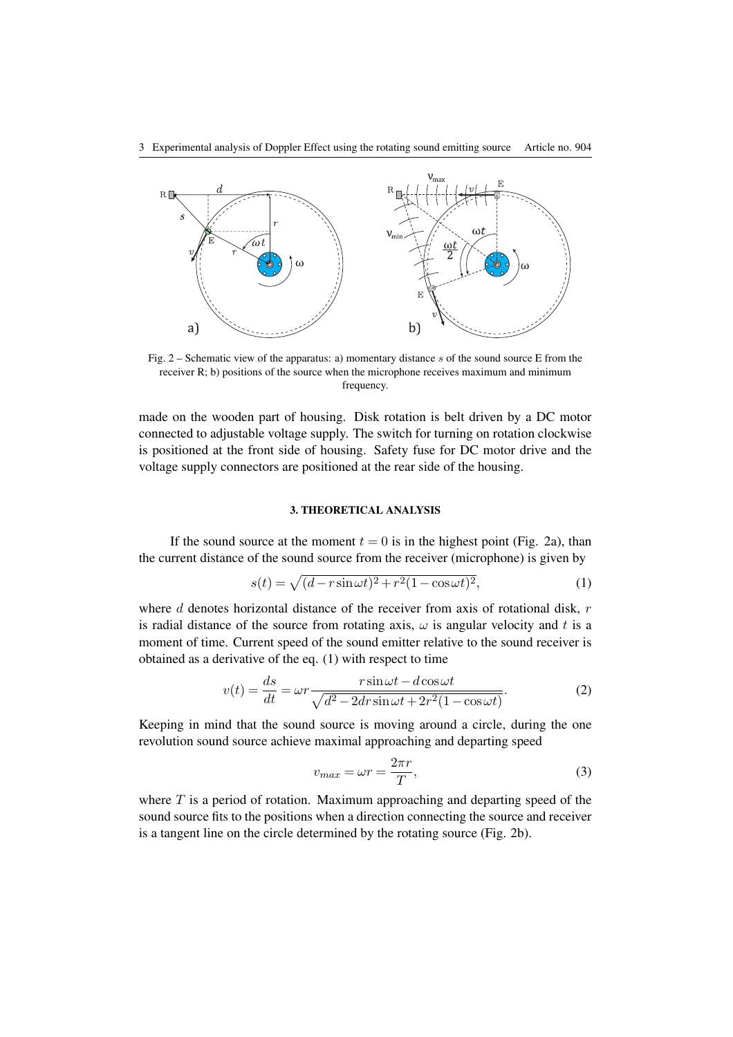

Fig. 2 – Schematic view of the apparatus: a) momentary distance *s* of the sound source E from the receiver R; b) positions of the source when the microphone receives maximum and minimum frequency.

made on the wooden part of housing. Disk rotation is belt driven by a DC motor connected to adjustable voltage supply. The switch for turning on rotation clockwise is positioned at the front side of housing. Safety fuse for DC motor drive and the voltage supply connectors are positioned at the rear side of the housing.

#### 3. THEORETICAL ANALYSIS

If the sound source at the moment  $t = 0$  is in the highest point (Fig. 2a), than the current distance of the sound source from the receiver (microphone) is given by

$$
s(t) = \sqrt{(d - r\sin\omega t)^2 + r^2(1 - \cos\omega t)^2},\tag{1}
$$

where *d* denotes horizontal distance of the receiver from axis of rotational disk, *r* is radial distance of the source from rotating axis,  $\omega$  is angular velocity and t is a moment of time. Current speed of the sound emitter relative to the sound receiver is obtained as a derivative of the eq. (1) with respect to time

$$
v(t) = \frac{ds}{dt} = \omega r \frac{r \sin \omega t - d \cos \omega t}{\sqrt{d^2 - 2dr \sin \omega t + 2r^2 (1 - \cos \omega t)}}.
$$
 (2)

Keeping in mind that the sound source is moving around a circle, during the one revolution sound source achieve maximal approaching and departing speed

$$
v_{max} = \omega r = \frac{2\pi r}{T},\tag{3}
$$

where *T* is a period of rotation. Maximum approaching and departing speed of the sound source fits to the positions when a direction connecting the source and receiver is a tangent line on the circle determined by the rotating source (Fig. 2b).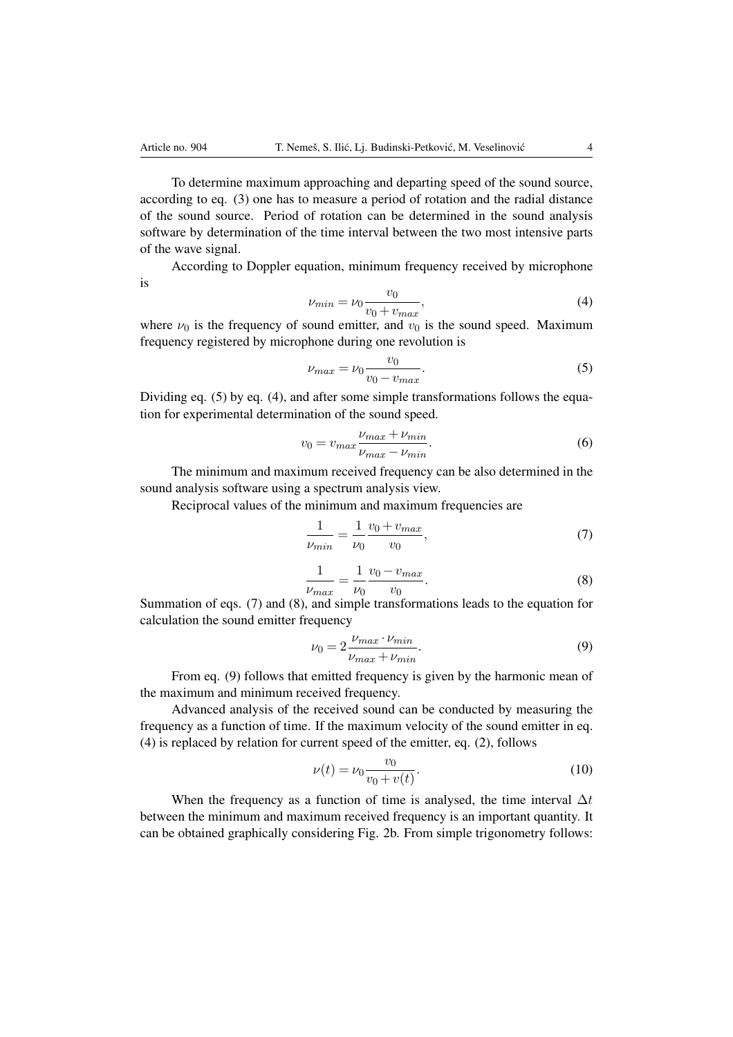To determine maximum approaching and departing speed of the sound source, according to eq. (3) one has to measure a period of rotation and the radial distance of the sound source. Period of rotation can be determined in the sound analysis software by determination of the time interval between the two most intensive parts of the wave signal.

According to Doppler equation, minimum frequency received by microphone is

$$
\nu_{min} = \nu_0 \frac{v_0}{v_0 + v_{max}},\tag{4}
$$

where  $\nu_0$  is the frequency of sound emitter, and  $\nu_0$  is the sound speed. Maximum frequency registered by microphone during one revolution is

$$
\nu_{max} = \nu_0 \frac{v_0}{v_0 - v_{max}}.\tag{5}
$$

Dividing eq. (5) by eq. (4), and after some simple transformations follows the equation for experimental determination of the sound speed.

$$
v_0 = v_{max} \frac{\nu_{max} + \nu_{min}}{\nu_{max} - \nu_{min}}.\tag{6}
$$

The minimum and maximum received frequency can be also determined in the sound analysis software using a spectrum analysis view.

Reciprocal values of the minimum and maximum frequencies are

$$
\frac{1}{\nu_{min}} = \frac{1}{\nu_0} \frac{v_0 + v_{max}}{v_0},\tag{7}
$$

$$
\frac{1}{\nu_{max}} = \frac{1}{\nu_0} \frac{v_0 - v_{max}}{v_0}.
$$
 (8)

Summation of eqs. (7) and (8), and simple transformations leads to the equation for calculation the sound emitter frequency

$$
\nu_0 = 2 \frac{\nu_{max} \cdot \nu_{min}}{\nu_{max} + \nu_{min}}.\tag{9}
$$

From eq. (9) follows that emitted frequency is given by the harmonic mean of the maximum and minimum received frequency.

Advanced analysis of the received sound can be conducted by measuring the frequency as a function of time. If the maximum velocity of the sound emitter in eq. (4) is replaced by relation for current speed of the emitter, eq. (2), follows

$$
\nu(t) = \nu_0 \frac{v_0}{v_0 + v(t)}.\tag{10}
$$

When the frequency as a function of time is analysed, the time interval  $\Delta t$ between the minimum and maximum received frequency is an important quantity. It can be obtained graphically considering Fig. 2b. From simple trigonometry follows: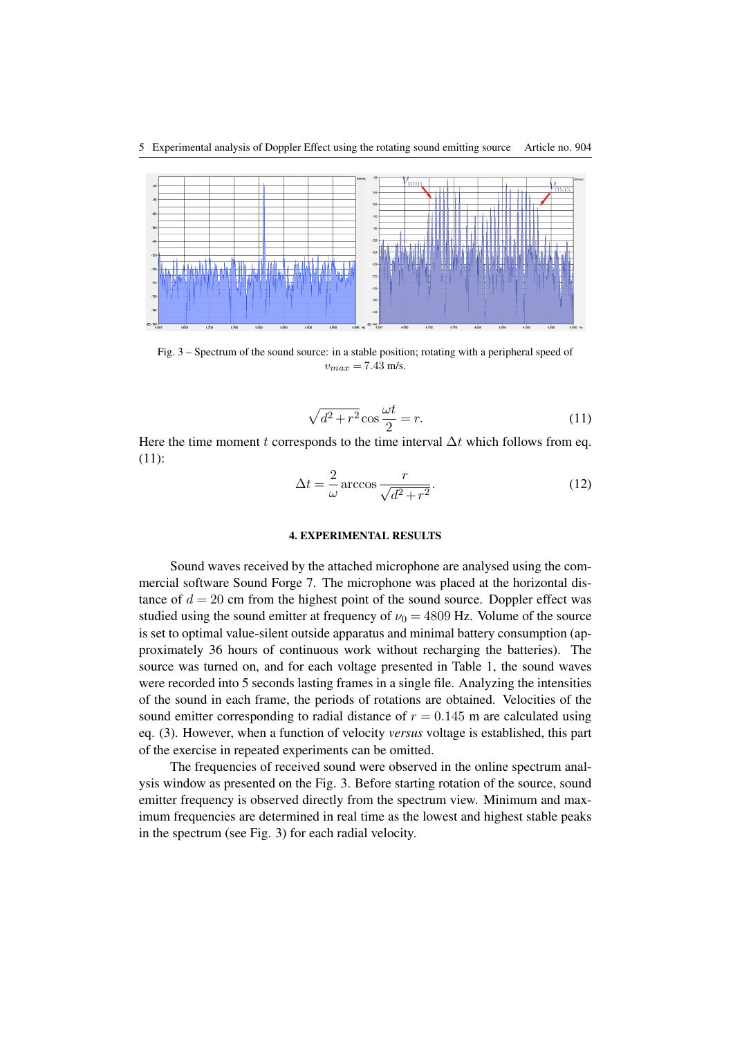

Fig. 3 – Spectrum of the sound source: in a stable position; rotating with a peripheral speed of  $v_{max} = 7.43$  m/s.

$$
\sqrt{d^2 + r^2} \cos \frac{\omega t}{2} = r.
$$
 (11)

Here the time moment *t* corresponds to the time interval  $\Delta t$  which follows from eq. (11):

$$
\Delta t = \frac{2}{\omega} \arccos \frac{r}{\sqrt{d^2 + r^2}}.
$$
\n(12)

#### 4. EXPERIMENTAL RESULTS

Sound waves received by the attached microphone are analysed using the commercial software Sound Forge 7. The microphone was placed at the horizontal distance of  $d = 20$  cm from the highest point of the sound source. Doppler effect was studied using the sound emitter at frequency of  $\nu_0 = 4809$  Hz. Volume of the source is set to optimal value-silent outside apparatus and minimal battery consumption (approximately 36 hours of continuous work without recharging the batteries). The source was turned on, and for each voltage presented in Table 1, the sound waves were recorded into 5 seconds lasting frames in a single file. Analyzing the intensities of the sound in each frame, the periods of rotations are obtained. Velocities of the sound emitter corresponding to radial distance of  $r = 0.145$  m are calculated using eq. (3). However, when a function of velocity *versus* voltage is established, this part of the exercise in repeated experiments can be omitted.

The frequencies of received sound were observed in the online spectrum analysis window as presented on the Fig. 3. Before starting rotation of the source, sound emitter frequency is observed directly from the spectrum view. Minimum and maximum frequencies are determined in real time as the lowest and highest stable peaks in the spectrum (see Fig. 3) for each radial velocity.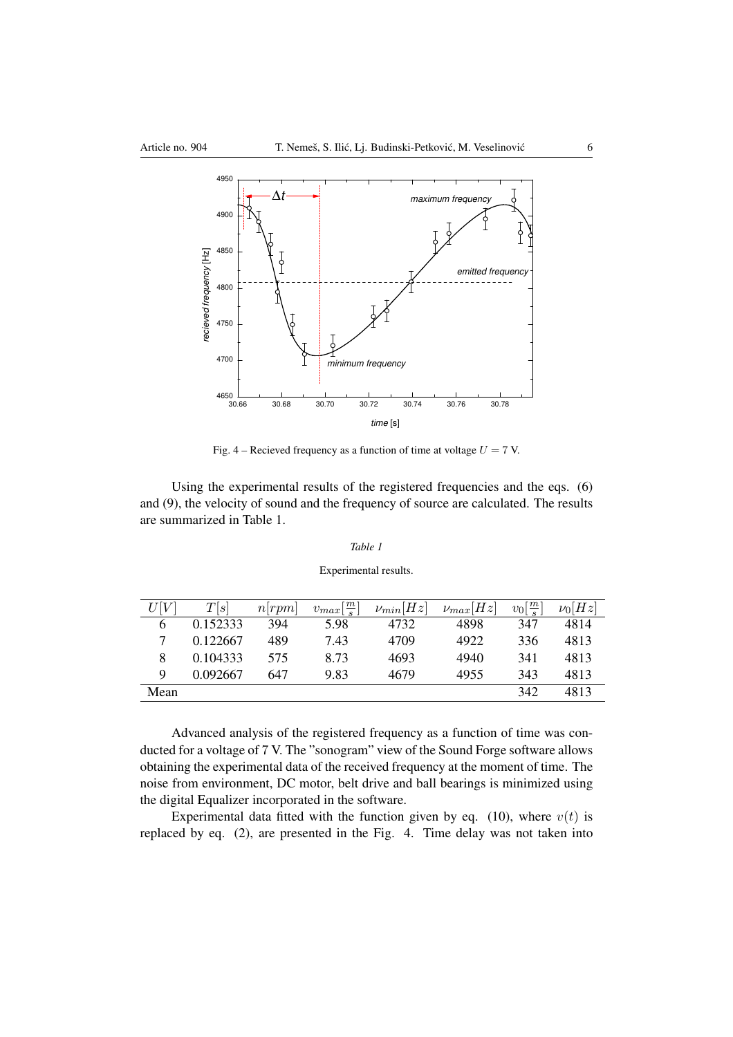

Fig. 4 – Recieved frequency as a function of time at voltage *U* = 7 V.

Using the experimental results of the registered frequencies and the eqs. (6) and (9), the velocity of sound and the frequency of source are calculated. The results are summarized in Table 1.

### *Table 1*

#### Experimental results.

| U[V] | T[s]     | n rpm | $v_{max}[\frac{m}{s}]$ | $\nu_{min}[Hz]$ | $\nu_{max}[Hz]$ | $v_0\left[\frac{m}{s}\right]$ | $\nu_0[Hz]$ |
|------|----------|-------|------------------------|-----------------|-----------------|-------------------------------|-------------|
| 6    | 0.152333 | 394   | 5.98                   | 4732            | 4898            | 347                           | 4814        |
|      | 0.122667 | 489   | 7.43                   | 4709            | 4922            | 336                           | 4813        |
| 8    | 0.104333 | 575   | 8.73                   | 4693            | 4940            | 341                           | 4813        |
| 9    | 0.092667 | 647   | 9.83                   | 4679            | 4955            | 343                           | 4813        |
| Mean |          |       |                        |                 |                 | 342                           | 4813        |

Advanced analysis of the registered frequency as a function of time was conducted for a voltage of 7 V. The "sonogram" view of the Sound Forge software allows obtaining the experimental data of the received frequency at the moment of time. The noise from environment, DC motor, belt drive and ball bearings is minimized using the digital Equalizer incorporated in the software.

Experimental data fitted with the function given by eq. (10), where  $v(t)$  is replaced by eq. (2), are presented in the Fig. 4. Time delay was not taken into